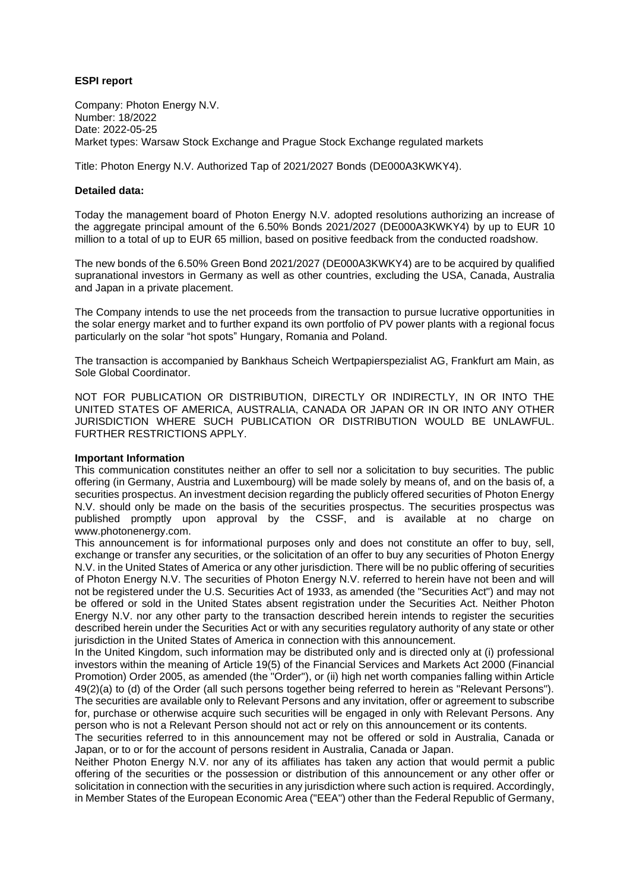## **ESPI report**

Company: Photon Energy N.V. Number: 18/2022 Date: 2022-05-25 Market types: Warsaw Stock Exchange and Prague Stock Exchange regulated markets

Title: Photon Energy N.V. Authorized Tap of 2021/2027 Bonds (DE000A3KWKY4).

## **Detailed data:**

Today the management board of Photon Energy N.V. adopted resolutions authorizing an increase of the aggregate principal amount of the 6.50% Bonds 2021/2027 (DE000A3KWKY4) by up to EUR 10 million to a total of up to EUR 65 million, based on positive feedback from the conducted roadshow.

The new bonds of the 6.50% Green Bond 2021/2027 (DE000A3KWKY4) are to be acquired by qualified supranational investors in Germany as well as other countries, excluding the USA, Canada, Australia and Japan in a private placement.

The Company intends to use the net proceeds from the transaction to pursue lucrative opportunities in the solar energy market and to further expand its own portfolio of PV power plants with a regional focus particularly on the solar "hot spots" Hungary, Romania and Poland.

The transaction is accompanied by Bankhaus Scheich Wertpapierspezialist AG, Frankfurt am Main, as Sole Global Coordinator.

NOT FOR PUBLICATION OR DISTRIBUTION, DIRECTLY OR INDIRECTLY, IN OR INTO THE UNITED STATES OF AMERICA, AUSTRALIA, CANADA OR JAPAN OR IN OR INTO ANY OTHER JURISDICTION WHERE SUCH PUBLICATION OR DISTRIBUTION WOULD BE UNLAWFUL. FURTHER RESTRICTIONS APPLY.

## **Important Information**

This communication constitutes neither an offer to sell nor a solicitation to buy securities. The public offering (in Germany, Austria and Luxembourg) will be made solely by means of, and on the basis of, a securities prospectus. An investment decision regarding the publicly offered securities of Photon Energy N.V. should only be made on the basis of the securities prospectus. The securities prospectus was published promptly upon approval by the CSSF, and is available at no charge on www.photonenergy.com.

This announcement is for informational purposes only and does not constitute an offer to buy, sell, exchange or transfer any securities, or the solicitation of an offer to buy any securities of Photon Energy N.V. in the United States of America or any other jurisdiction. There will be no public offering of securities of Photon Energy N.V. The securities of Photon Energy N.V. referred to herein have not been and will not be registered under the U.S. Securities Act of 1933, as amended (the "Securities Act") and may not be offered or sold in the United States absent registration under the Securities Act. Neither Photon Energy N.V. nor any other party to the transaction described herein intends to register the securities described herein under the Securities Act or with any securities regulatory authority of any state or other jurisdiction in the United States of America in connection with this announcement.

In the United Kingdom, such information may be distributed only and is directed only at (i) professional investors within the meaning of Article 19(5) of the Financial Services and Markets Act 2000 (Financial Promotion) Order 2005, as amended (the "Order"), or (ii) high net worth companies falling within Article 49(2)(a) to (d) of the Order (all such persons together being referred to herein as "Relevant Persons"). The securities are available only to Relevant Persons and any invitation, offer or agreement to subscribe for, purchase or otherwise acquire such securities will be engaged in only with Relevant Persons. Any person who is not a Relevant Person should not act or rely on this announcement or its contents.

The securities referred to in this announcement may not be offered or sold in Australia, Canada or Japan, or to or for the account of persons resident in Australia, Canada or Japan.

Neither Photon Energy N.V. nor any of its affiliates has taken any action that would permit a public offering of the securities or the possession or distribution of this announcement or any other offer or solicitation in connection with the securities in any jurisdiction where such action is required. Accordingly, in Member States of the European Economic Area ("EEA") other than the Federal Republic of Germany,